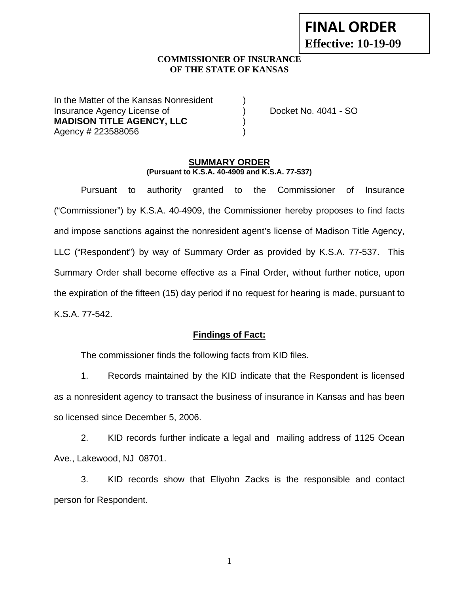# **FINAL ORDER Effective: 10-19-09**

#### **COMMISSIONER OF INSURANCE OF THE STATE OF KANSAS**

In the Matter of the Kansas Nonresident Insurance Agency License of (a) provide the Docket No. 4041 - SO **MADISON TITLE AGENCY, LLC** ) Agency # 223588056 )

#### **SUMMARY ORDER (Pursuant to K.S.A. 40-4909 and K.S.A. 77-537)**

 Pursuant to authority granted to the Commissioner of Insurance ("Commissioner") by K.S.A. 40-4909, the Commissioner hereby proposes to find facts and impose sanctions against the nonresident agent's license of Madison Title Agency, LLC ("Respondent") by way of Summary Order as provided by K.S.A. 77-537. This Summary Order shall become effective as a Final Order, without further notice, upon the expiration of the fifteen (15) day period if no request for hearing is made, pursuant to K.S.A. 77-542.

## **Findings of Fact:**

The commissioner finds the following facts from KID files.

 1. Records maintained by the KID indicate that the Respondent is licensed as a nonresident agency to transact the business of insurance in Kansas and has been so licensed since December 5, 2006.

 2. KID records further indicate a legal and mailing address of 1125 Ocean Ave., Lakewood, NJ 08701.

 3. KID records show that Eliyohn Zacks is the responsible and contact person for Respondent.

1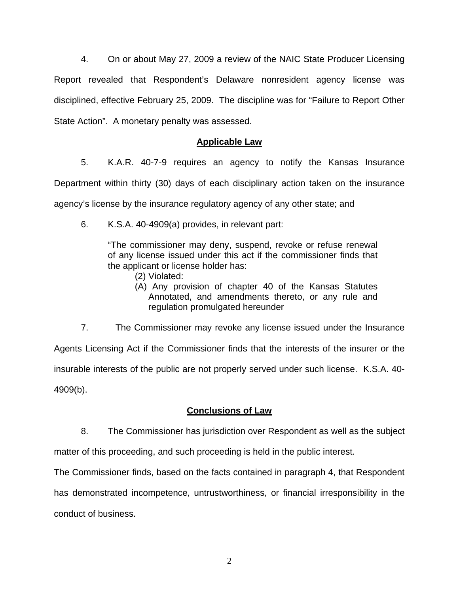4. On or about May 27, 2009 a review of the NAIC State Producer Licensing Report revealed that Respondent's Delaware nonresident agency license was disciplined, effective February 25, 2009. The discipline was for "Failure to Report Other State Action". A monetary penalty was assessed.

## **Applicable Law**

 5. K.A.R. 40-7-9 requires an agency to notify the Kansas Insurance Department within thirty (30) days of each disciplinary action taken on the insurance agency's license by the insurance regulatory agency of any other state; and

6. K.S.A. 40-4909(a) provides, in relevant part:

"The commissioner may deny, suspend, revoke or refuse renewal of any license issued under this act if the commissioner finds that the applicant or license holder has:

- (2) Violated:
- (A) Any provision of chapter 40 of the Kansas Statutes Annotated, and amendments thereto, or any rule and regulation promulgated hereunder

 7. The Commissioner may revoke any license issued under the Insurance Agents Licensing Act if the Commissioner finds that the interests of the insurer or the insurable interests of the public are not properly served under such license. K.S.A. 40- 4909(b).

## **Conclusions of Law**

 8. The Commissioner has jurisdiction over Respondent as well as the subject matter of this proceeding, and such proceeding is held in the public interest.

The Commissioner finds, based on the facts contained in paragraph 4, that Respondent

has demonstrated incompetence, untrustworthiness, or financial irresponsibility in the conduct of business.

2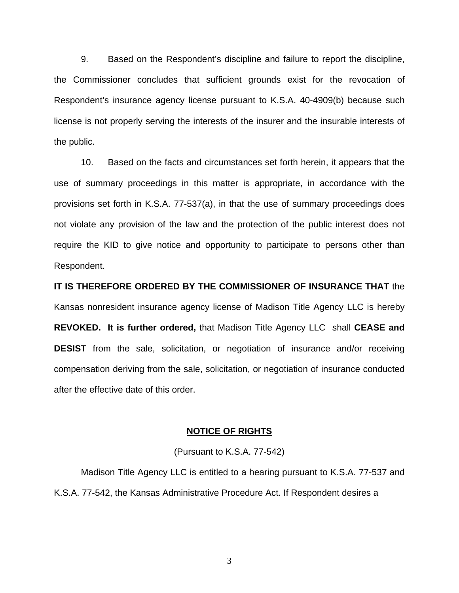9. Based on the Respondent's discipline and failure to report the discipline, the Commissioner concludes that sufficient grounds exist for the revocation of Respondent's insurance agency license pursuant to K.S.A. 40-4909(b) because such license is not properly serving the interests of the insurer and the insurable interests of the public.

 10. Based on the facts and circumstances set forth herein, it appears that the use of summary proceedings in this matter is appropriate, in accordance with the provisions set forth in K.S.A. 77-537(a), in that the use of summary proceedings does not violate any provision of the law and the protection of the public interest does not require the KID to give notice and opportunity to participate to persons other than Respondent.

**IT IS THEREFORE ORDERED BY THE COMMISSIONER OF INSURANCE THAT** the Kansas nonresident insurance agency license of Madison Title Agency LLC is hereby **REVOKED. It is further ordered,** that Madison Title Agency LLC shall **CEASE and DESIST** from the sale, solicitation, or negotiation of insurance and/or receiving compensation deriving from the sale, solicitation, or negotiation of insurance conducted after the effective date of this order.

#### **NOTICE OF RIGHTS**

#### (Pursuant to K.S.A. 77-542)

Madison Title Agency LLC is entitled to a hearing pursuant to K.S.A. 77-537 and K.S.A. 77-542, the Kansas Administrative Procedure Act. If Respondent desires a

3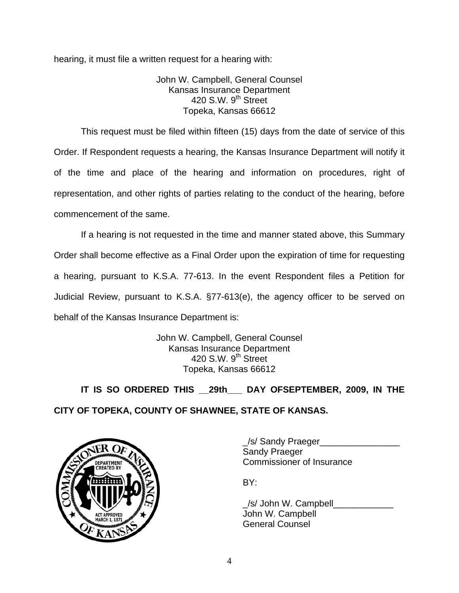hearing, it must file a written request for a hearing with:

John W. Campbell, General Counsel Kansas Insurance Department 420 S.W.  $9<sup>th</sup>$  Street Topeka, Kansas 66612

This request must be filed within fifteen (15) days from the date of service of this Order. If Respondent requests a hearing, the Kansas Insurance Department will notify it of the time and place of the hearing and information on procedures, right of representation, and other rights of parties relating to the conduct of the hearing, before commencement of the same.

If a hearing is not requested in the time and manner stated above, this Summary Order shall become effective as a Final Order upon the expiration of time for requesting a hearing, pursuant to K.S.A. 77-613. In the event Respondent files a Petition for Judicial Review, pursuant to K.S.A. §77-613(e), the agency officer to be served on behalf of the Kansas Insurance Department is:

> John W. Campbell, General Counsel Kansas Insurance Department 420 S.W. 9<sup>th</sup> Street Topeka, Kansas 66612

 **IT IS SO ORDERED THIS \_\_29th\_\_\_ DAY OFSEPTEMBER, 2009, IN THE CITY OF TOPEKA, COUNTY OF SHAWNEE, STATE OF KANSAS.** 



\_/s/ Sandy Praeger\_\_\_\_\_\_\_\_\_\_\_\_\_\_\_\_ Sandy Praeger DEPARTMENT VAN COMMISSIONER OF INSURANCE

/s/ John W. Campbell John W. Campbell General Counsel